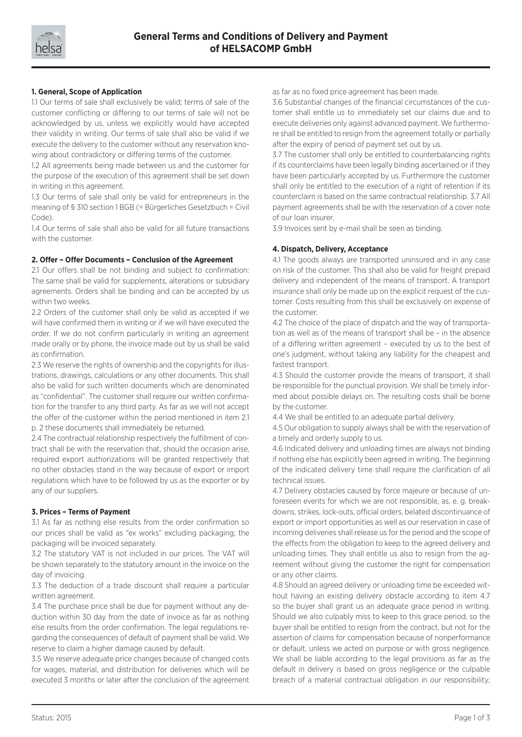

# **1. General, Scope of Application**

1.1 Our terms of sale shall exclusively be valid; terms of sale of the customer conflicting or differing to our terms of sale will not be acknowledged by us, unless we explicitly would have accepted their validity in writing. Our terms of sale shall also be valid if we execute the delivery to the customer without any reservation knowing about contradictory or differing terms of the customer.

1.2 All agreements being made between us and the customer for the purpose of the execution of this agreement shall be set down in writing in this agreement.

1.3 Our terms of sale shall only be valid for entrepreneurs in the meaning of § 310 section 1 BGB (= Bürgerliches Gesetzbuch = Civil Code).

1.4 Our terms of sale shall also be valid for all future transactions with the customer.

# **2. Offer – Offer Documents – Conclusion of the Agreement**

2.1 Our offers shall be not binding and subject to confirmation: The same shall be valid for supplements, alterations or subsidiary agreements. Orders shall be binding and can be accepted by us within two weeks.

2.2 Orders of the customer shall only be valid as accepted if we will have confirmed them in writing or if we will have executed the order. If we do not confirm particularly in writing an agreement made orally or by phone, the invoice made out by us shall be valid as confirmation.

2.3 We reserve the rights of ownership and the copyrights for illustrations, drawings, calculations or any other documents. This shall also be valid for such written documents which are denominated as "confidential". The customer shall require our written confirmation for the transfer to any third party. As far as we will not accept the offer of the customer within the period mentioned in item 2.1 p. 2 these documents shall immediately be returned.

2.4 The contractual relationship respectively the fulfillment of contract shall be with the reservation that, should the occasion arise, required export authorizations will be granted respectively that no other obstacles stand in the way because of export or import regulations which have to be followed by us as the exporter or by any of our suppliers.

### **3. Prices – Terms of Payment**

3.1 As far as nothing else results from the order confirmation so our prices shall be valid as "ex works" excluding packaging; the packaging will be invoiced separately.

3.2 The statutory VAT is not included in our prices. The VAT will be shown separately to the statutory amount in the invoice on the day of invoicing.

3.3 The deduction of a trade discount shall require a particular written agreement.

3.4 The purchase price shall be due for payment without any deduction within 30 day from the date of invoice as far as nothing else results from the order confirmation. The legal regulations regarding the consequences of default of payment shall be valid. We reserve to claim a higher damage caused by default.

3.5 We reserve adequate price changes because of changed costs for wages, material, and distribution for deliveries which will be executed 3 months or later after the conclusion of the agreement as far as no fixed price agreement has been made.

3.6 Substantial changes of the financial circumstances of the customer shall entitle us to immediately set our claims due and to execute deliveries only against advanced payment. We furthermore shall be entitled to resign from the agreement totally or partially after the expiry of period of payment set out by us.

3.7 The customer shall only be entitled to counterbalancing rights if its counterclaims have been legally binding ascertained or if they have been particularly accepted by us. Furthermore the customer shall only be entitled to the execution of a right of retention if its counterclaim is based on the same contractual relationship. 3.7 All payment agreements shall be with the reservation of a cover note of our loan insurer.

3.9 Invoices sent by e-mail shall be seen as binding.

### **4. Dispatch, Delivery, Acceptance**

4.1 The goods always are transported uninsured and in any case on risk of the customer. This shall also be valid for freight prepaid delivery and independent of the means of transport. A transport insurance shall only be made up on the explicit request of the customer. Costs resulting from this shall be exclusively on expense of the customer.

4.2 The choice of the place of dispatch and the way of transportation as well as of the means of transport shall be – in the absence of a differing written agreement – executed by us to the best of one's judgment, without taking any liability for the cheapest and fastest transport.

4.3 Should the customer provide the means of transport, it shall be responsible for the punctual provision. We shall be timely informed about possible delays on. The resulting costs shall be borne by the customer.

4.4 We shall be entitled to an adequate partial delivery.

4.5 Our obligation to supply always shall be with the reservation of a timely and orderly supply to us.

4.6 Indicated delivery and unloading times are always not binding if nothing else has explicitly been agreed in writing. The beginning of the indicated delivery time shall require the clarification of all technical issues.

4.7 Delivery obstacles caused by force majeure or because of unforeseen events for which we are not responsible, as, e. g. breakdowns, strikes, lock-outs, official orders, belated discontinuance of export or import opportunities as well as our reservation in case of incoming deliveries shall release us for the period and the scope of the effects from the obligation to keep to the agreed delivery and unloading times. They shall entitle us also to resign from the agreement without giving the customer the right for compensation or any other claims.

4.8 Should an agreed delivery or unloading time be exceeded without having an existing delivery obstacle according to item 4.7 so the buyer shall grant us an adequate grace period in writing. Should we also culpably miss to keep to this grace period, so the buyer shall be entitled to resign from the contract, but not for the assertion of claims for compensation because of nonperformance or default, unless we acted on purpose or with gross negligence. We shall be liable according to the legal provisions as far as the default in delivery is based on gross negligence or the culpable breach of a material contractual obligation in our responsibility;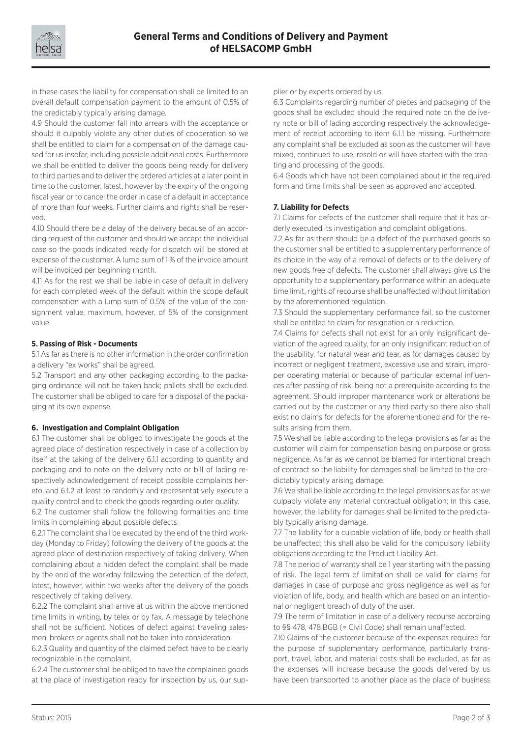

in these cases the liability for compensation shall be limited to an overall default compensation payment to the amount of 0.5% of the predictably typically arising damage.

4.9 Should the customer fall into arrears with the acceptance or should it culpably violate any other duties of cooperation so we shall be entitled to claim for a compensation of the damage caused for us insofar, including possible additional costs. Furthermore we shall be entitled to deliver the goods being ready for delivery to third parties and to deliver the ordered articles at a later point in time to the customer, latest, however by the expiry of the ongoing fiscal year or to cancel the order in case of a default in acceptance of more than four weeks. Further claims and rights shall be reserved.

4.10 Should there be a delay of the delivery because of an according request of the customer and should we accept the individual case so the goods indicated ready for dispatch will be stored at expense of the customer. A lump sum of 1 % of the invoice amount will be invoiced per beginning month.

4.11 As for the rest we shall be liable in case of default in delivery for each completed week of the default within the scope default compensation with a lump sum of 0.5% of the value of the consignment value, maximum, however, of 5% of the consignment value.

### **5. Passing of Risk - Documents**

5.1 As far as there is no other information in the order confirmation a delivery "ex works" shall be agreed.

5.2 Transport and any other packaging according to the packaging ordinance will not be taken back; pallets shall be excluded. The customer shall be obliged to care for a disposal of the packaging at its own expense.

## **6. Investigation and Complaint Obligation**

6.1 The customer shall be obliged to investigate the goods at the agreed place of destination respectively in case of a collection by itself at the taking of the delivery 6.1.1 according to quantity and packaging and to note on the delivery note or bill of lading respectively acknowledgement of receipt possible complaints hereto, and 6.1.2 at least to randomly and representatively execute a quality control and to check the goods regarding outer quality.

6.2 The customer shall follow the following formalities and time limits in complaining about possible defects:

6.2.1 The complaint shall be executed by the end of the third workday (Monday to Friday) following the delivery of the goods at the agreed place of destination respectively of taking delivery. When complaining about a hidden defect the complaint shall be made by the end of the workday following the detection of the defect, latest, however, within two weeks after the delivery of the goods respectively of taking delivery.

6.2.2 The complaint shall arrive at us within the above mentioned time limits in writing, by telex or by fax. A message by telephone shall not be sufficient. Notices of defect against traveling salesmen, brokers or agents shall not be taken into consideration.

6.2.3 Quality and quantity of the claimed defect have to be clearly recognizable in the complaint.

6.2.4 The customer shall be obliged to have the complained goods at the place of investigation ready for inspection by us, our supplier or by experts ordered by us.

6.3 Complaints regarding number of pieces and packaging of the goods shall be excluded should the required note on the delivery note or bill of lading according respectively the acknowledgement of receipt according to item 6.1.1 be missing. Furthermore any complaint shall be excluded as soon as the customer will have mixed, continued to use, resold or will have started with the treating and processing of the goods.

6.4 Goods which have not been complained about in the required form and time limits shall be seen as approved and accepted.

#### **7. Liability for Defects**

7.1 Claims for defects of the customer shall require that it has orderly executed its investigation and complaint obligations.

7.2 As far as there should be a defect of the purchased goods so the customer shall be entitled to a supplementary performance of its choice in the way of a removal of defects or to the delivery of new goods free of defects. The customer shall always give us the opportunity to a supplementary performance within an adequate time limit, rights of recourse shall be unaffected without limitation by the aforementioned regulation.

7.3 Should the supplementary performance fail, so the customer shall be entitled to claim for resignation or a reduction.

7.4 Claims for defects shall not exist for an only insignificant deviation of the agreed quality, for an only insignificant reduction of the usability, for natural wear and tear, as for damages caused by incorrect or negligent treatment, excessive use and strain, improper operating material or because of particular external influences after passing of risk, being not a prerequisite according to the agreement. Should improper maintenance work or alterations be carried out by the customer or any third party so there also shall exist no claims for defects for the aforementioned and for the results arising from them.

7.5 We shall be liable according to the legal provisions as far as the customer will claim for compensation basing on purpose or gross negligence. As far as we cannot be blamed for intentional breach of contract so the liability for damages shall be limited to the predictably typically arising damage.

7.6 We shall be liable according to the legal provisions as far as we culpably violate any material contractual obligation; in this case, however, the liability for damages shall be limited to the predictably typically arising damage.

7.7 The liability for a culpable violation of life, body or health shall be unaffected; this shall also be valid for the compulsory liability obligations according to the Product Liability Act.

7.8 The period of warranty shall be 1 year starting with the passing of risk. The legal term of limitation shall be valid for claims for damages in case of purpose and gross negligence as well as for violation of life, body, and health which are based on an intentional or negligent breach of duty of the user.

7.9 The term of limitation in case of a delivery recourse according to §§ 478, 478 BGB (= Civil Code) shall remain unaffected.

7.10 Claims of the customer because of the expenses required for the purpose of supplementary performance, particularly transport, travel, labor, and material costs shall be excluded, as far as the expenses will increase because the goods delivered by us have been transported to another place as the place of business